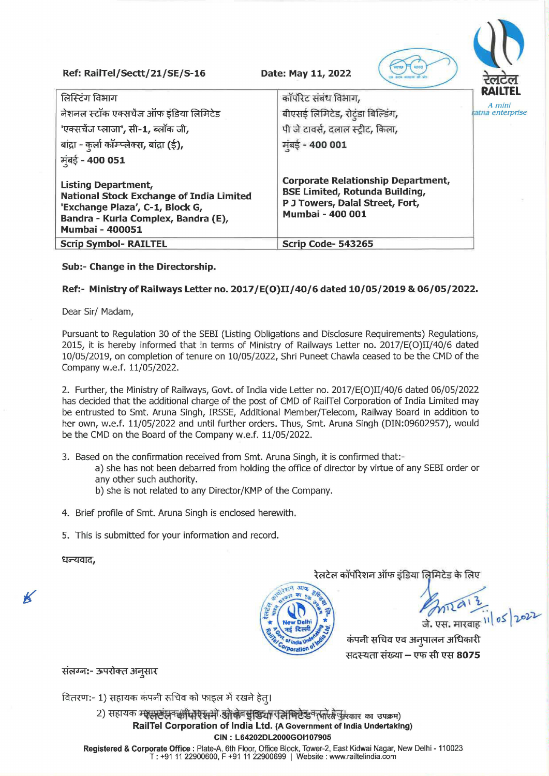**Ref: RailTel/Sectt/21/SE/S-16** 

**Date: May 11, 2022** 



## **Sub:- Change in the Directorship.**

## **Ref:- Ministry of Railways Letter no. 2017 /E(O)II/40/6 dated 10/05/2019 & 06/05/2022.**

Dear Sir/ Madam,

Pursuant to Regulation 30 of the SEBI (Listing Obligations and Disclosure Requirements) Regulations, 2015, it is hereby informed that in terms of Ministry of Railways Letter no. 2017/E(O)II/40/6 dated 10/05/2019, on completion of tenure on 10/05/2022, Shri Puneet Chawla ceased to be the CMD of the Company w.e.f. 11/05/2022.

2. Further, the Ministry of Railways, Govt. of India vide Letter no. 2017/E(O)II/40/6 dated 06/05/2022 has decided that the additional charge of the post of CMD of RailTel Corporation of India Limited may be entrusted to Smt. Aruna Singh, IRSSE, Additional Member/Telecom, Railway Board in addition to her own, w.e.f. 11/05/2022 and until further orders. Thus, Smt. Aruna Singh (DIN:09602957), would be the CMD on the Board of the Company w.e.f. 11/05/2022.

- 3. Based on the confirmation received from Smt. Aruna Singh, it is confirmed that:
	- a) she has not been debarred from holding the office of director by virtue of any SEBI order or any other such authority.
	- b) she is not related to any Director/KMP of the Company.
- 4. Brief profile of Smt. Aruna Singh is enclosed herewith.
- 5. This is submitted for your information and record.

धन्यवाद,

K

रेलटेल कॉर्पोरेशन ऑफ इंडिया लिमिटेड के लिए



कंपनी सचिव एव अनुपालन अधिकारी सदस्यता संख्या – एफ सी एस 8075

संलग्न:- ऊपरोक्त अनुसार

वितरण:- 1) सहायक कंपनी सचिव को फाइल में रखने हेत्।

2) सहायक म्यूसस्टंसन कीपोएसमे औके सुंखिया रतिमिटे उनसारे के उसकार का उपक्रम) **RailTel Corporation of India Ltd. (A Government of India Undertaking) CIN : L64202DL2000GOl107905** 

**Registered & Corporate Office:** Plate-A, 6th Floor, Office Block, Tower-2, East Kidwai Nagar, New Delhi -110023 T: +91 11 22900600, F +91 11 22900699 I Website: www.railtelindia.com